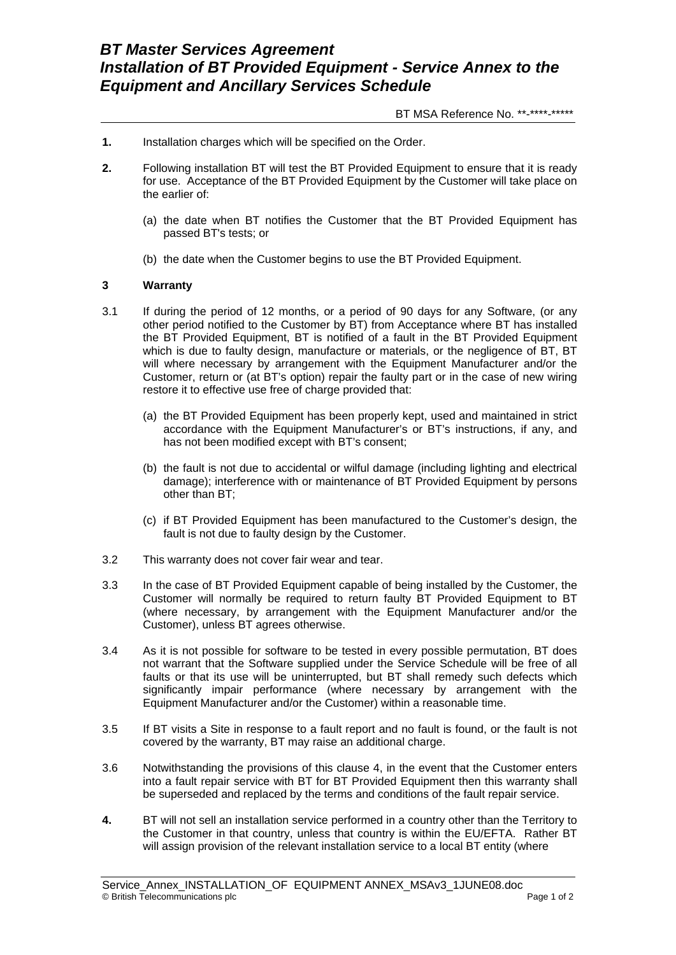## BT MSA Reference No. \*\*-\*\*\*\*-\*\*\*\*\*

- **1.** Installation charges which will be specified on the Order.
- **2.** Following installation BT will test the BT Provided Equipment to ensure that it is ready for use. Acceptance of the BT Provided Equipment by the Customer will take place on the earlier of:
	- (a) the date when BT notifies the Customer that the BT Provided Equipment has passed BT's tests; or
	- (b) the date when the Customer begins to use the BT Provided Equipment.

## **3 Warranty**

- 3.1 If during the period of 12 months, or a period of 90 days for any Software, (or any other period notified to the Customer by BT) from Acceptance where BT has installed the BT Provided Equipment, BT is notified of a fault in the BT Provided Equipment which is due to faulty design, manufacture or materials, or the negligence of BT, BT will where necessary by arrangement with the Equipment Manufacturer and/or the Customer, return or (at BT's option) repair the faulty part or in the case of new wiring restore it to effective use free of charge provided that:
	- (a) the BT Provided Equipment has been properly kept, used and maintained in strict accordance with the Equipment Manufacturer's or BT's instructions, if any, and has not been modified except with BT's consent;
	- (b) the fault is not due to accidental or wilful damage (including lighting and electrical damage); interference with or maintenance of BT Provided Equipment by persons other than BT;
	- (c) if BT Provided Equipment has been manufactured to the Customer's design, the fault is not due to faulty design by the Customer.
- 3.2 This warranty does not cover fair wear and tear.
- 3.3 In the case of BT Provided Equipment capable of being installed by the Customer, the Customer will normally be required to return faulty BT Provided Equipment to BT (where necessary, by arrangement with the Equipment Manufacturer and/or the Customer), unless BT agrees otherwise.
- 3.4 As it is not possible for software to be tested in every possible permutation, BT does not warrant that the Software supplied under the Service Schedule will be free of all faults or that its use will be uninterrupted, but BT shall remedy such defects which significantly impair performance (where necessary by arrangement with the Equipment Manufacturer and/or the Customer) within a reasonable time.
- 3.5 If BT visits a Site in response to a fault report and no fault is found, or the fault is not covered by the warranty, BT may raise an additional charge.
- 3.6 Notwithstanding the provisions of this clause 4, in the event that the Customer enters into a fault repair service with BT for BT Provided Equipment then this warranty shall be superseded and replaced by the terms and conditions of the fault repair service.
- **4.** BT will not sell an installation service performed in a country other than the Territory to the Customer in that country, unless that country is within the EU/EFTA. Rather BT will assign provision of the relevant installation service to a local BT entity (where